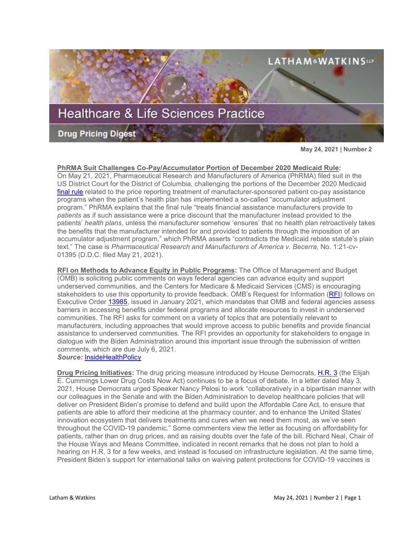

**May 24, 2021 | Number 2**

## **PhRMA Suit Challenges Co-Pay/Accumulator Portion of December 2020 Medicaid Rule:**

On May 21, 2021, Pharmaceutical Research and Manufacturers of America (PhRMA) filed suit in the US District Court for the District of Columbia, challenging the portions of the December 2020 Medicaid [final rule](https://www.govinfo.gov/content/pkg/FR-2020-12-31/pdf/2020-28567.pdf) related to the price reporting treatment of manufacturer-sponsored patient co-pay assistance programs when the patient's health plan has implemented a so-called "accumulator adjustment program." PhRMA explains that the final rule "treats financial assistance manufacturers provide to *patients* as if such assistance were a price discount that the manufacturer instead provided to the patients' *health plans*, unless the manufacturer somehow 'ensures' that no health plan retroactively takes the benefits that the manufacturer intended for and provided to patients through the imposition of an accumulator adjustment program," which PhRMA asserts "contradicts the Medicaid rebate statute's plain text." The case is *Pharmaceutical Research and Manufacturers of America v. Becerra*, No. 1:21-cv-01395 (D.D.C. filed May 21, 2021).

**RFI on Methods to Advance Equity in Public Programs:** The Office of Management and Budget (OMB) is soliciting public comments on ways federal agencies can advance equity and support underserved communities, and the Centers for Medicare & Medicaid Services (CMS) is encouraging stakeholders to use this opportunity to provide feedback. OMB's Request for Information [\(RFI\)](https://www.federalregister.gov/documents/2021/05/05/2021-09109/methods-and-leading-practices-for-advancing-equity-and-support-for-underserved-communities-through) follows on Executive Order [13985,](https://www.whitehouse.gov/briefing-room/presidential-actions/2021/01/20/executive-order-advancing-racial-equity-and-support-for-underserved-communities-through-the-federal-government/) issued in January 2021, which mandates that OMB and federal agencies assess barriers in accessing benefits under federal programs and allocate resources to invest in underserved communities. The RFI asks for comment on a variety of topics that are potentially relevant to manufacturers, including approaches that would improve access to public benefits and provide financial assistance to underserved communities. The RFI provides an opportunity for stakeholders to engage in dialogue with the Biden Administration around this important issue through the submission of written comments, which are due July 6, 2021. *Source:* [InsideHealthPolicy](https://insidehealthpolicy.com/daily-news/cms-points-stakeholders-omb%E2%80%99s-request-feedback-equity)

**Drug Pricing Initiatives:** The drug pricing measure introduced by House Democrats, [H.R. 3](https://www.congress.gov/bill/117th-congress/house-bill/3) (the Elijah E. Cummings Lower Drug Costs Now Act) continues to be a focus of debate. In a letter dated May 3, 2021, House Democrats urged Speaker Nancy Pelosi to work "collaboratively in a bipartisan manner with our colleagues in the Senate and with the Biden Administration to develop healthcare policies that will deliver on President Biden's promise to defend and build upon the Affordable Care Act, to ensure that patients are able to afford their medicine at the pharmacy counter, and to enhance the United States' innovation ecosystem that delivers treatments and cures when we need them most, as we've seen throughout the COVID-19 pandemic." Some commenters view the letter as focusing on affordability for patients, rather than on drug prices, and as raising doubts over the fate of the bill. Richard Neal, Chair of the House Ways and Means Committee, indicated in recent remarks that he does not plan to hold a hearing on H.R. 3 for a few weeks, and instead is focused on infrastructure legislation. At the same time, President Biden's support for international talks on waiving patent protections for COVID-19 vaccines is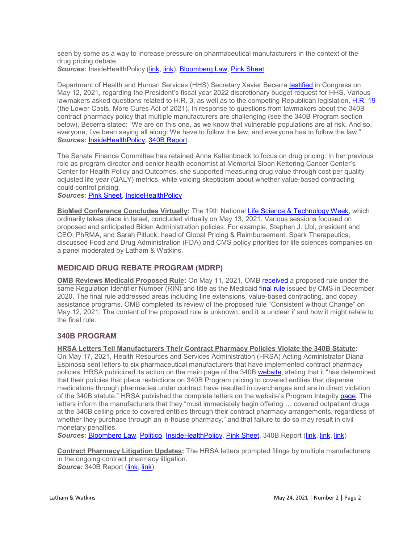seen by some as a way to increase pressure on pharmaceutical manufacturers in the context of the drug pricing debate. **Sources:** InsideHealthPolicy [\(link,](https://insidehealthpolicy.com/daily-news/blow-hr-3-10-democrats-urge-pelosi-negotiate-bipartisan-drug-pricing-bill) [link\)](https://insidehealthpolicy.com/daily-news/neal-says-no-hr-3-hearing-planned-weeks-due-infrastructure-bill), [Bloomberg Law,](https://www.bloomberglaw.com/bloomberglawnews/coronavirus/XEJTGBOO000000?bwid=00000179-450a-d779-a37b-cdbfd73a0003&cti=LFVL&emc=bcvnw_nl%3A20&et=NEWSLETTER&isAlert=false&item=read-button&qid=7104387®ion=digest&source=newsletter&uc=1320011525&udvType=Alert&usertype=External) [Pink Sheet](https://pink.pharmaintelligence.informa.com/PS144353/Pharma-Resisting-Efforts-To-Send-Drug-Pricing-Savings-To-US-Budget-Black-Hole---Pfizers-Bourla)

Department of Health and Human Services (HHS) Secretary Xavier Becerra [testified](https://energycommerce.house.gov/sites/democrats.energycommerce.house.gov/files/documents/Witness%20Testimony_Becerra_HE_2021.05.12.pdf) in Congress on May 12, 2021, regarding the President's fiscal year 2022 discretionary budget request for HHS. Various lawmakers asked questions related to H.R. 3, as well as to the competing Republican legislation, [H.R. 19](https://www.congress.gov/bill/117th-congress/house-bill/19) (the Lower Costs, More Cures Act of 2021). In response to questions from lawmakers about the 340B contract pharmacy policy that multiple manufacturers are challenging (see the 340B Program section below), Becerra stated: "We are on this one, as we know that vulnerable populations are at risk. And so, everyone, I've been saying all along: We have to follow the law, and everyone has to follow the law." *Sources:* [InsideHealthPolicy,](https://insidehealthpolicy.com/daily-news/becerra-pressed-surprise-billing-short-term-plans-medicare) [340B Report](https://340breport.com/breaking-becerra-on-340b-pricing-denials-tells-house-panel-everyone-has-to-follow-the-law/)

The Senate Finance Committee has retained Anna Kaltenboeck to focus on drug pricing. In her previous role as program director and senior health economist at Memorial Sloan Kettering Cancer Center's Center for Health Policy and Outcomes, she supported measuring drug value through cost per quality adjusted life year (QALY) metrics, while voicing skepticism about whether value-based contracting could control pricing.

*Sources:* [Pink Sheet,](https://pink.pharmaintelligence.informa.com/PS144300/Senate-Finance-Panels-New-Legislative-Staffer-Kaltenboeck-Likes-QALYs-For-Valuing-Drugs) [InsideHealthPolicy](https://insidehealthpolicy.com/daily-news/finance-democrats-hire-kaltenboeck-work-drug-pricing)

**BioMed Conference Concludes Virtually:** The 19th National [Life Science & Technology Week,](https://kenes-exhibitions.com/biomed/) which ordinarily takes place in Israel, concluded virtually on May 13, 2021. Various sessions focused on proposed and anticipated Biden Administration policies. For example, Stephen J. Ubl, president and CEO, PhRMA, and Sarah Pitluck, head of Global Pricing & Reimbursement, Spark Therapeutics, discussed Food and Drug Administration (FDA) and CMS policy priorities for life sciences companies on a panel moderated by Latham & Watkins.

# **MEDICAID DRUG REBATE PROGRAM (MDRP)**

**OMB Reviews Medicaid Proposed Rule:** On May 11, 2021, OMB [received](https://www.reginfo.gov/public/Forward?SearchTarget=RegReview&textfield=0938-AT82&Image61.x=0&Image61.y=0) a proposed rule under the same Regulation Identifier Number (RIN) and title as the Medicaid [final rule](https://www.govinfo.gov/content/pkg/FR-2020-12-31/pdf/2020-28567.pdf) issued by CMS in December 2020. The final rule addressed areas including line extensions, value-based contracting, and copay assistance programs. OMB completed its review of the proposed rule "Consistent without Change" on May 12, 2021. The content of the proposed rule is unknown, and it is unclear if and how it might relate to the final rule.

# **340B PROGRAM**

**HRSA Letters Tell Manufacturers Their Contract Pharmacy Policies Violate the 340B Statute:**

On May 17, 2021, Health Resources and Services Administration (HRSA) Acting Administrator Diana Espinosa sent letters to six pharmaceutical manufacturers that have implemented contract pharmacy policies. HRSA publicized its action on the main page of the 340B [website,](https://www.hrsa.gov/opa/index.html) stating that it "has determined that their policies that place restrictions on 340B Program pricing to covered entities that dispense medications through pharmacies under contract have resulted in overcharges and are in direct violation of the 340B statute." HRSA published the complete letters on the website's Program Integrity [page.](https://www.hrsa.gov/opa/program-integrity/index.html) The letters inform the manufacturers that they "must immediately begin offering … covered outpatient drugs at the 340B ceiling price to covered entities through their contract pharmacy arrangements, regardless of whether they purchase through an in-house pharmacy," and that failure to do so may result in civil monetary penalties.

*Sources:* [Bloomberg Law,](https://www.bloomberglaw.com/bloomberglawnews/exp/eyJjdHh0IjoiSFBOVyIsImlkIjoiMDAwMDAxNzktN2IxNC1kYTUxLWExZmItN2IxZDljOTAwMDAxIiwic2lnIjoiSmZaeVRBV3NTRUNvOC9naVVUcmhxTGRNdGZBPSIsInRpbWUiOiIxNjIxMjcxNDA2IiwidXVpZCI6IkMzWmJDQnJHRlRNOHpPUHdRTXBMZ3c9PUVDM0JxZk5rN0xYR2xEYzB5MStRV2c9PSIsInYiOiIxIn0=?bwid=00000179-7b14-da51-a1fb-7b1d9c900001&cti=LFVL&emc=bhpnw_cn%3A3&et=CHANNEL_NOTIFICATION&isAlert=false&item=read-button&qid=7109303®ion=digest&source=breaking-news&uc=1320011525&udvType=Alert&usertype=External) [Politico,](https://subscriber.politicopro.com/article/2021/05/hhs-orders-drugmakers-to-restore-discounts-in-federal-program-3988942) [InsideHealthPolicy,](https://insidehealthpolicy.com/daily-news/hrsa-threatens-fine-drug-makers-over-340b-restrictions) [Pink Sheet,](https://pink.pharmaintelligence.informa.com/PS144345/340B-Fight-Escalates-As-Biden-Administration-Seeks-Refunds-From-Manufacturers-Threatens-Them-With-Fines) 340B Report [\(link,](https://340breport.com/year-2-of-340b-contract-pharmacy-fight-starts-with-a-bang/) [link,](https://340breport.com/drug-makers-defensive-providers-thrilled-about-hrsas-340b-contract-pharmacy-letters/) [link\)](https://340breport.com/drugmakers-show-no-sign-so-far-of-giving-in-to-hrsa-on-340b-contract-pharmacy/)

**Contract Pharmacy Litigation Updates:** The HRSA letters prompted filings by multiple manufacturers in the ongoing contract pharmacy litigation. **Source:** 340B Report [\(link,](https://340breport.com/breaking-developments-in-astrazenecas-340b-lawsuit/) [link\)](https://340breport.com/breaking-developments-in-multiple-340b-contract-pharmacy-lawsuits/)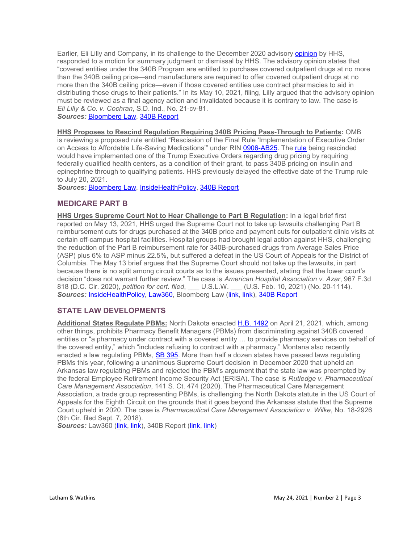Earlier, Eli Lilly and Company, in its challenge to the December 2020 advisory [opinion](https://www.hhs.gov/guidance/document/ao-contract-pharmacies-under-340b-program-12-30-2020-2) by HHS, responded to a motion for summary judgment or dismissal by HHS. The advisory opinion states that "covered entities under the 340B Program are entitled to purchase covered outpatient drugs at no more than the 340B ceiling price—and manufacturers are required to offer covered outpatient drugs at no more than the 340B ceiling price—even if those covered entities use contract pharmacies to aid in distributing those drugs to their patients." In its May 10, 2021, filing, Lilly argued that the advisory opinion must be reviewed as a final agency action and invalidated because it is contrary to law. The case is *Eli Lilly & Co. v. Cochran*, S.D. Ind., No. 21-cv-81.

*Sources:* [Bloomberg Law,](https://www.bloomberglaw.com/bloomberglawnews/exp/eyJjdHh0IjoiSExOVyIsImlkIjoiMDAwMDAxNzktNWMwZi1kYzcwLWExZjktN2NmZjMzMDcwMDAxIiwic2lnIjoiaW9zL005cXFMMDFTWUpENFhUOVYraWFoV1A0PSIsInRpbWUiOiIxNjIwODE2ODk5IiwidXVpZCI6Imd2Q0VFRnRNbzBZSkV4OWxxempISGc9PVlIZmxBMVJMUzdIM2VHRHptZTZ4UFE9PSIsInYiOiIxIn0=?bwid=00000179-5c0f-dc70-a1f9-7cff33070001&cti=LFVL&emc=bhlnw_nl%3A43&et=NEWSLETTER&isAlert=false&item=read-button&qid=7106581®ion=digest&source=newsletter&uc=1320011525&udvType=Alert&usertype=External) [340B Report](https://340breport.com/lilly-wants-judge-to-schedule-june-arguments-in-340b-suit-against-hhs/)

**HHS Proposes to Rescind Regulation Requiring 340B Pricing Pass-Through to Patients:** OMB is reviewing a proposed rule entitled "Rescission of the Final Rule 'Implementation of Executive Order on Access to Affordable Life-Saving Medications" under RIN [0906-AB25.](https://www.reginfo.gov/public/Forward?SearchTarget=RegReview&textfield=0906-AB25&Image61.x=0&Image61.y=0) The [rule](https://www.govinfo.gov/content/pkg/FR-2020-12-23/pdf/2020-28483.pdf) being rescinded would have implemented one of the Trump Executive Orders regarding drug pricing by requiring federally qualified health centers, as a condition of their grant, to pass 340B pricing on insulin and

epinephrine through to qualifying patients. HHS previously delayed the effective date of the Trump rule

to July 20, 2021. *Sources:* [Bloomberg Law,](https://www.bloomberglaw.com/bloomberglawnews/exp/eyJjdHh0IjoiSExOVyIsImlkIjoiMDAwMDAxNzgtNGIyMS1kZTJmLWFmZjgtNWIyN2I4NTQwMDBmIiwic2lnIjoibmpGQVQ5aklaZXp5WnlDcE1LUmRYV1JUZVVBPSIsInRpbWUiOiIxNjIwODE2ODk5IiwidXVpZCI6Imd2Q0VFRnRNbzBZSkV4OWxxempISGc9PVlIZmxBMVJMUzdIM2VHRHptZTZ4UFE9PSIsInYiOiIxIn0=?bwid=00000178-4b21-de2f-aff8-5b27b854000f&cti=LFVL&emc=bhlnw_nl%3A17&et=NEWSLETTER&isAlert=false&item=read-button&qid=7106581®ion=digest&source=newsletter&uc=1320011525&udvType=Alert&usertype=External) [InsideHealthPolicy,](https://insidehealthpolicy.com/daily-news/hhs-plans-scrap-trump-rule-health-clinic%E2%80%99s-insulin-discounts) [340B Report](https://340breport.com/hrsa-signals-it-will-rescind-trumps-340b-insulin-rule/)

## **MEDICARE PART B**

**HHS Urges Supreme Court Not to Hear Challenge to Part B Regulation:** In a legal brief first reported on May 13, 2021, HHS urged the Supreme Court not to take up lawsuits challenging Part B reimbursement cuts for drugs purchased at the 340B price and payment cuts for outpatient clinic visits at certain off-campus hospital facilities. Hospital groups had brought legal action against HHS, challenging the reduction of the Part B reimbursement rate for 340B-purchased drugs from Average Sales Price (ASP) plus 6% to ASP minus 22.5%, but suffered a defeat in the US Court of Appeals for the District of Columbia. The May 13 brief argues that the Supreme Court should not take up the lawsuits, in part because there is no split among circuit courts as to the issues presented, stating that the lower court's decision "does not warrant further review." The case is *American Hospital Association v. Azar*, 967 F.3d 818 (D.C. Cir. 2020), *petition for cert. filed*, \_\_\_ U.S.L.W. \_\_\_ (U.S. Feb. 10, 2021) (No. 20-1114). *Sources:* [InsideHealthPolicy,](https://insidehealthpolicy.com/daily-news/biden-admin-scotus-don%E2%80%99t-take-trump%E2%80%99s-340b-site-neutral-cuts) [Law360,](https://www.law360.com/health/articles/1384955/hhs-defends-medicare-drug-program-cuts-at-high-court?nl_pk=efd0bb39-bda0-4dc3-a4fa-7fca45bb788c&utm_source=newsletter&utm_medium=email&utm_campaign=health) Bloomberg Law [\(link,](https://www.bloomberglaw.com/product/blaw/bloomberglawnews/bloomberg-law-news/BNA%2000000179-8536-d462-a17f-dd7e66270001?bwid=00000179-8536-d462-a17f-dd7e66270001) [link\)](https://www.bloomberglaw.com/bloomberglawnews/health-law-and-business/XCV6L4MS000000?bwid=00000179-8a09-da51-a1fb-db1d2f080002&cti=LFVL&emc=bhlnw_nl%3A27&et=NEWSLETTER&isAlert=false&item=read-button&qid=7111812®ion=digest&source=newsletter&uc=1320011525&udvType=Alert&usertype=External), [340B Report](https://340breport.com/hhs-asks-u-s-supreme-court-to-reject-340b-hospital-request-to-hear-part-b-case/)

## **STATE LAW DEVELOPMENTS**

**Additional States Regulate PBMs:** North Dakota enacted [H.B. 1492](https://www.legis.nd.gov/assembly/67-2021/documents/21-0892-05000.pdf) on April 21, 2021, which, among other things, prohibits Pharmacy Benefit Managers (PBMs) from discriminating against 340B covered entities or "a pharmacy under contract with a covered entity … to provide pharmacy services on behalf of the covered entity," which "includes refusing to contract with a pharmacy." Montana also recently enacted a law regulating PBMs, [SB 395.](https://leg.mt.gov/bills/2021/billpdf/SB0395.pdf) More than half a dozen states have passed laws regulating PBMs this year, following a unanimous Supreme Court decision in December 2020 that upheld an Arkansas law regulating PBMs and rejected the PBM's argument that the state law was preempted by the federal Employee Retirement Income Security Act (ERISA). The case is *Rutledge v. Pharmaceutical Care Management Association*, 141 S. Ct. 474 (2020). The Pharmaceutical Care Management Association, a trade group representing PBMs, is challenging the North Dakota statute in the US Court of Appeals for the Eighth Circuit on the grounds that it goes beyond the Arkansas statute that the Supreme Court upheld in 2020. The case is *Pharmaceutical Care Management Association v. Wilke*, No. 18-2926 (8th Cir. filed Sept. 7, 2018).

Sources: Law360 [\(link,](https://340breport.com/north-dakota-is-the-latest-state-to-pass-a-340b-non-discrimination-law/) [link\)](https://340breport.com/montana-enacts-expansive-bill-intended-to-protect-340b-providers/), 340B Report (link, link)